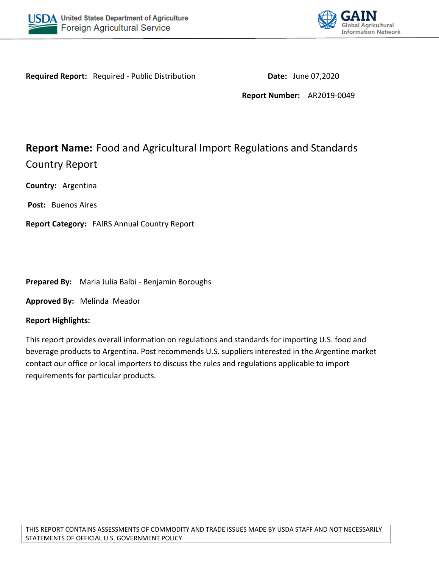



**Required Report:** Required - Public Distribution **Date:** June 07,2020

**Report Number:** AR2019-0049

# **Report Name:** Food and Agricultural Import Regulations and Standards Country Report

**Country:** Argentina

**Post:** Buenos Aires

**Report Category:** FAIRS Annual Country Report

**Prepared By:** Maria Julia Balbi - Benjamin Boroughs

**Approved By:** Melinda Meador

#### **Report Highlights:**

This report provides overall information on regulations and standards for importing U.S. food and beverage products to Argentina. Post recommends U.S. suppliers interested in the Argentine market contact our office or local importers to discuss the rules and regulations applicable to import requirements for particular products.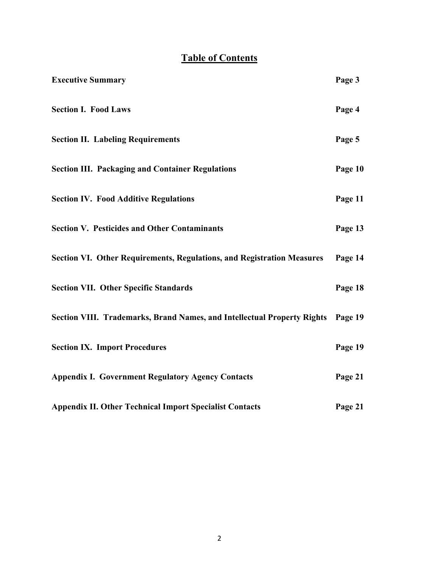# **Table of Contents**

| <b>Executive Summary</b>                                                        | Page 3  |
|---------------------------------------------------------------------------------|---------|
| <b>Section I. Food Laws</b>                                                     | Page 4  |
| <b>Section II. Labeling Requirements</b>                                        | Page 5  |
| <b>Section III. Packaging and Container Regulations</b>                         | Page 10 |
| <b>Section IV. Food Additive Regulations</b>                                    | Page 11 |
| <b>Section V. Pesticides and Other Contaminants</b>                             | Page 13 |
| <b>Section VI. Other Requirements, Regulations, and Registration Measures</b>   | Page 14 |
| <b>Section VII. Other Specific Standards</b>                                    | Page 18 |
| Section VIII. Trademarks, Brand Names, and Intellectual Property Rights Page 19 |         |
| <b>Section IX. Import Procedures</b>                                            | Page 19 |
| <b>Appendix I. Government Regulatory Agency Contacts</b>                        | Page 21 |
| <b>Appendix II. Other Technical Import Specialist Contacts</b>                  | Page 21 |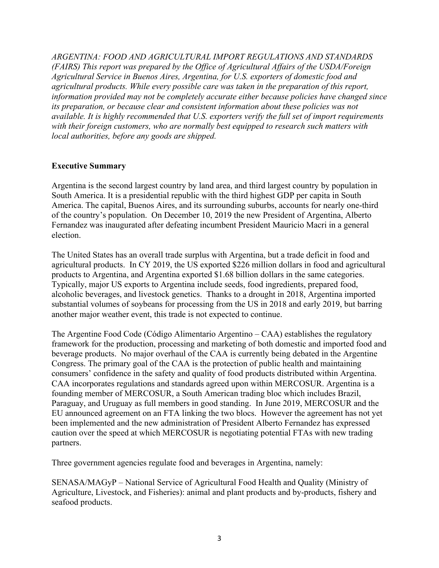*ARGENTINA: FOOD AND AGRICULTURAL IMPORT REGULATIONS AND STANDARDS (FAIRS) This report was prepared by the Office of Agricultural Affairs of the USDA/Foreign Agricultural Service in Buenos Aires, Argentina, for U.S. exporters of domestic food and agricultural products. While every possible care was taken in the preparation of this report, information provided may not be completely accurate either because policies have changed since its preparation, or because clear and consistent information about these policies was not available. It is highly recommended that U.S. exporters verify the full set of import requirements with their foreign customers, who are normally best equipped to research such matters with local authorities, before any goods are shipped.*

## **Executive Summary**

Argentina is the second largest country by land area, and third largest country by population in South America. It is a presidential republic with the third highest GDP per capita in South America. The capital, Buenos Aires, and its surrounding suburbs, accounts for nearly one-third of the country's population. On December 10, 2019 the new President of Argentina, Alberto Fernandez was inaugurated after defeating incumbent President Mauricio Macri in a general election.

The United States has an overall trade surplus with Argentina, but a trade deficit in food and agricultural products. In CY 2019, the US exported \$226 million dollars in food and agricultural products to Argentina, and Argentina exported \$1.68 billion dollars in the same categories. Typically, major US exports to Argentina include seeds, food ingredients, prepared food, alcoholic beverages, and livestock genetics. Thanks to a drought in 2018, Argentina imported substantial volumes of soybeans for processing from the US in 2018 and early 2019, but barring another major weather event, this trade is not expected to continue.

The Argentine Food Code (Código Alimentario Argentino – CAA) establishes the regulatory framework for the production, processing and marketing of both domestic and imported food and beverage products. No major overhaul of the CAA is currently being debated in the Argentine Congress. The primary goal of the CAA is the protection of public health and maintaining consumers' confidence in the safety and quality of food products distributed within Argentina. CAA incorporates regulations and standards agreed upon within MERCOSUR. Argentina is a founding member of MERCOSUR, a South American trading bloc which includes Brazil, Paraguay, and Uruguay as full members in good standing. In June 2019, MERCOSUR and the EU announced agreement on an FTA linking the two blocs. However the agreement has not yet been implemented and the new administration of President Alberto Fernandez has expressed caution over the speed at which MERCOSUR is negotiating potential FTAs with new trading partners.

Three government agencies regulate food and beverages in Argentina, namely:

SENASA/MAGyP – National Service of Agricultural Food Health and Quality (Ministry of Agriculture, Livestock, and Fisheries): animal and plant products and by-products, fishery and seafood products.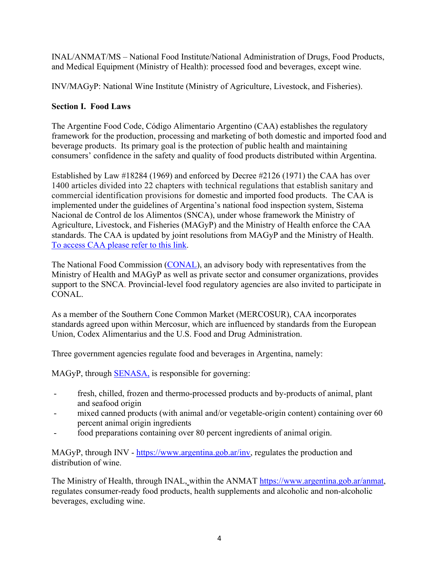INAL/ANMAT/MS – National Food Institute/National Administration of Drugs, Food Products, and Medical Equipment (Ministry of Health): processed food and beverages, except wine.

INV/MAGyP: National Wine Institute (Ministry of Agriculture, Livestock, and Fisheries).

## **Section I. Food Laws**

The Argentine Food Code, Código Alimentario Argentino (CAA) establishes the regulatory framework for the production, processing and marketing of both domestic and imported food and beverage products. Its primary goal is the protection of public health and maintaining consumers' confidence in the safety and quality of food products distributed within Argentina.

Established by Law #18284 (1969) and enforced by Decree #2126 (1971) the CAA has over 1400 articles divided into 22 chapters with technical regulations that establish sanitary and commercial identification provisions for domestic and imported food products. The CAA is implemented under the guidelines of Argentina's national food inspection system, Sistema Nacional de Control de los Alimentos (SNCA), under whose framework the Ministry of Agriculture, Livestock, and Fisheries (MAGyP) and the Ministry of Health enforce the CAA standards. The CAA is updated by joint resolutions from MAGyP and the Ministry of Health. [To access CAA please refer to this link](https://www.argentina.gob.ar/anmat/codigoalimentario).

The National Food Commission [\(CONAL\)](file:///C:/Users/BoroughsBB/AppData/Local/Microsoft/Windows/INetCache/Content.Outlook/OEGL03E0/conal.gob.ar), an advisory body with representatives from the Ministry of Health and MAGyP as well as private sector and consumer organizations, provides support to the SNCA. Provincial-level food regulatory agencies are also invited to participate in CONAL.

As a member of the Southern Cone Common Market (MERCOSUR), CAA incorporates standards agreed upon within Mercosur, which are influenced by standards from the European Union, Codex Alimentarius and the U.S. Food and Drug Administration.

Three government agencies regulate food and beverages in Argentina, namely:

MAGyP, through **SENASA**, is responsible for governing:

- fresh, chilled, frozen and thermo-processed products and by-products of animal, plant and seafood origin
- mixed canned products (with animal and/or vegetable-origin content) containing over 60 percent animal origin ingredients
- food preparations containing over 80 percent ingredients of animal origin.

MAGyP, through INV -<https://www.argentina.gob.ar/inv>, regulates the production and distribution of wine.

The Ministry of Health, through INAL, within the ANMAT<https://www.argentina.gob.ar/anmat>, regulates consumer-ready food products, health supplements and alcoholic and non-alcoholic beverages, excluding wine.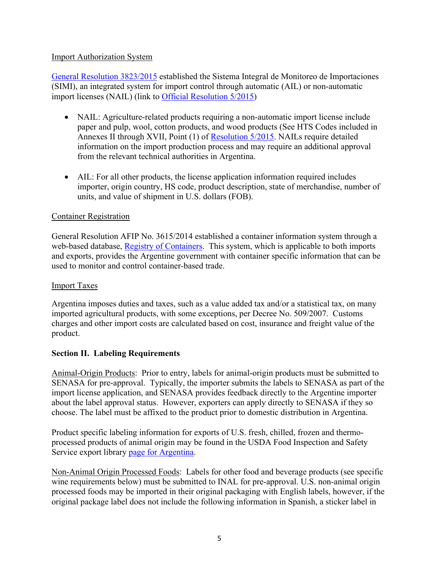### Import Authorization System

[General Resolution 3823/2015](https://www.boletinoficial.gob.ar/detalleAviso/primera/138647/20151222) established the Sistema Integral de Monitoreo de Importaciones (SIMI), an integrated system for import control through automatic (AIL) or non-automatic import licenses (NAIL) (link to [Official Resolution 5/2015](http://servicios.infoleg.gob.ar/infolegInternet/anexos/255000-259999/257251/norma.htm))

- NAIL: Agriculture-related products requiring a non-automatic import license include paper and pulp, wool, cotton products, and wood products (See HTS Codes included in Annexes II through XVII, Point (1) of [Resolution 5/2015](http://servicios.infoleg.gob.ar/infolegInternet/anexos/255000-259999/257251/norma.htm). NAILs require detailed information on the import production process and may require an additional approval from the relevant technical authorities in Argentina.
- AIL: For all other products, the license application information required includes importer, origin country, HS code, product description, state of merchandise, number of units, and value of shipment in U.S. dollars (FOB).

#### Container Registration

General Resolution AFIP No. 3615/2014 established a container information system through a web-based database, [Registry of Containers](http://www.afip.gob.ar/contenedores/). This system, which is applicable to both imports and exports, provides the Argentine government with container specific information that can be used to monitor and control container-based trade.

#### Import Taxes

Argentina imposes duties and taxes, such as a value added tax and/or a statistical tax, on many imported agricultural products, with some exceptions, per Decree No. 509/2007. Customs charges and other import costs are calculated based on cost, insurance and freight value of the product.

## **Section II. Labeling Requirements**

Animal-Origin Products: Prior to entry, labels for animal-origin products must be submitted to SENASA for pre-approval. Typically, the importer submits the labels to SENASA as part of the import license application, and SENASA provides feedback directly to the Argentine importer about the label approval status. However, exporters can apply directly to SENASA if they so choose. The label must be affixed to the product prior to domestic distribution in Argentina.

Product specific labeling information for exports of U.S. fresh, chilled, frozen and thermoprocessed products of animal origin may be found in the USDA Food Inspection and Safety Service export library [page for Argentina](https://www.fsis.usda.gov/wps/portal/fsis/topics/international-affairs/exporting-products/export-library-requirements-by-country/Argentina).

Non-Animal Origin Processed Foods: Labels for other food and beverage products (see specific wine requirements below) must be submitted to INAL for pre-approval. U.S. non-animal origin processed foods may be imported in their original packaging with English labels, however, if the original package label does not include the following information in Spanish, a sticker label in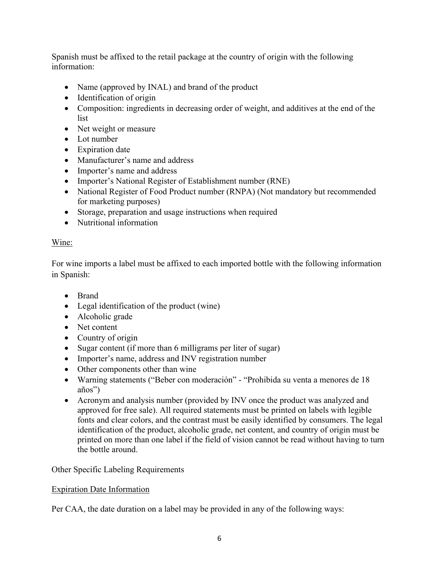Spanish must be affixed to the retail package at the country of origin with the following information:

- Name (approved by INAL) and brand of the product
- Identification of origin
- Composition: ingredients in decreasing order of weight, and additives at the end of the list
- Net weight or measure
- Lot number
- Expiration date
- Manufacturer's name and address
- Importer's name and address
- Importer's National Register of Establishment number (RNE)
- National Register of Food Product number (RNPA) (Not mandatory but recommended for marketing purposes)
- Storage, preparation and usage instructions when required
- Nutritional information

# Wine:

For wine imports a label must be affixed to each imported bottle with the following information in Spanish:

- Brand
- Legal identification of the product (wine)
- Alcoholic grade
- Net content
- Country of origin
- Sugar content (if more than 6 milligrams per liter of sugar)
- Importer's name, address and INV registration number
- Other components other than wine
- Warning statements ("Beber con moderación" "Prohibida su venta a menores de 18 años")
- Acronym and analysis number (provided by INV once the product was analyzed and approved for free sale). All required statements must be printed on labels with legible fonts and clear colors, and the contrast must be easily identified by consumers. The legal identification of the product, alcoholic grade, net content, and country of origin must be printed on more than one label if the field of vision cannot be read without having to turn the bottle around.

Other Specific Labeling Requirements

# Expiration Date Information

Per CAA, the date duration on a label may be provided in any of the following ways: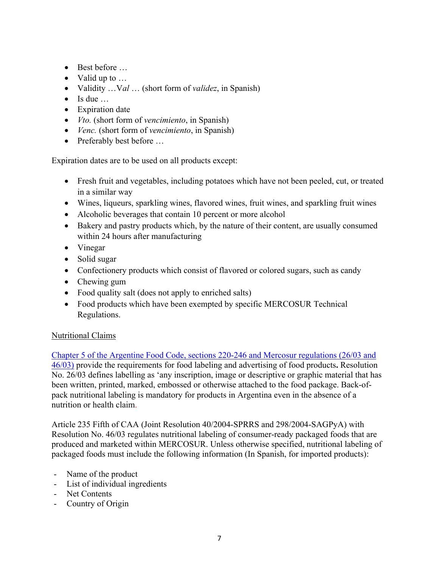- Best before …
- Valid up to …
- Validity …V*al* … (short form of *validez*, in Spanish)
- $\bullet$  Is due ...
- Expiration date
- *Vto.* (short form of *vencimiento*, in Spanish)
- *Venc.* (short form of *vencimiento*, in Spanish)
- Preferably best before ...

Expiration dates are to be used on all products except:

- Fresh fruit and vegetables, including potatoes which have not been peeled, cut, or treated in a similar way
- Wines, liqueurs, sparkling wines, flavored wines, fruit wines, and sparkling fruit wines
- Alcoholic beverages that contain 10 percent or more alcohol
- Bakery and pastry products which, by the nature of their content, are usually consumed within 24 hours after manufacturing
- Vinegar
- Solid sugar
- Confectionery products which consist of flavored or colored sugars, such as candy
- Chewing gum
- Food quality salt (does not apply to enriched salts)
- Food products which have been exempted by specific MERCOSUR Technical Regulations.

# Nutritional Claims

[Chapter 5 of the Argentine Food Code, sections 220-246 and Mercosur regulations \(26/03 and](https://www.argentina.gob.ar/sites/default/files/anmat_capitulo_v_rotulacion_14-01-2019.pdf)  [46/03\)](https://www.argentina.gob.ar/sites/default/files/anmat_capitulo_v_rotulacion_14-01-2019.pdf) provide the requirements for food labeling and advertising of food products**.** Resolution No. 26/03 defines labelling as 'any inscription, image or descriptive or graphic material that has been written, printed, marked, embossed or otherwise attached to the food package. Back-ofpack nutritional labeling is mandatory for products in Argentina even in the absence of a nutrition or health claim.

Article 235 Fifth of CAA (Joint Resolution 40/2004-SPRRS and 298/2004-SAGPyA) with Resolution No. 46/03 regulates nutritional labeling of consumer-ready packaged foods that are produced and marketed within MERCOSUR. Unless otherwise specified, nutritional labeling of packaged foods must include the following information (In Spanish, for imported products):

- Name of the product
- List of individual ingredients
- Net Contents
- Country of Origin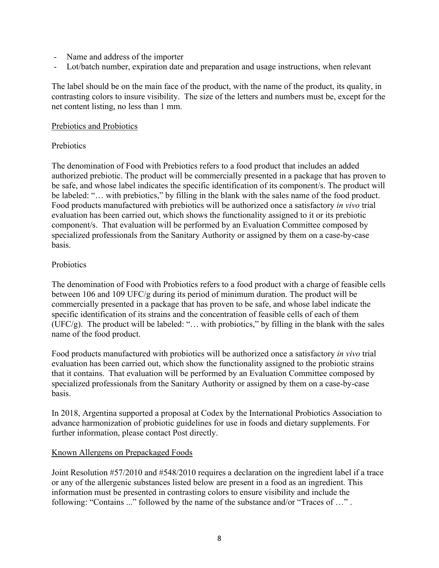- Name and address of the importer
- Lot/batch number, expiration date and preparation and usage instructions, when relevant

The label should be on the main face of the product, with the name of the product, its quality, in contrasting colors to insure visibility. The size of the letters and numbers must be, except for the net content listing, no less than 1 mm.

#### Prebiotics and Probiotics

### **Prebiotics**

The denomination of Food with Prebiotics refers to a food product that includes an added authorized prebiotic. The product will be commercially presented in a package that has proven to be safe, and whose label indicates the specific identification of its component/s. The product will be labeled: "… with prebiotics," by filling in the blank with the sales name of the food product. Food products manufactured with prebiotics will be authorized once a satisfactory *in vivo* trial evaluation has been carried out, which shows the functionality assigned to it or its prebiotic component/s. That evaluation will be performed by an Evaluation Committee composed by specialized professionals from the Sanitary Authority or assigned by them on a case-by-case basis.

#### **Probiotics**

The denomination of Food with Probiotics refers to a food product with a charge of feasible cells between 106 and 109 UFC/g during its period of minimum duration. The product will be commercially presented in a package that has proven to be safe, and whose label indicate the specific identification of its strains and the concentration of feasible cells of each of them  $(UFC/g)$ . The product will be labeled: "... with probiotics," by filling in the blank with the sales name of the food product.

Food products manufactured with probiotics will be authorized once a satisfactory *in vivo* trial evaluation has been carried out, which show the functionality assigned to the probiotic strains that it contains. That evaluation will be performed by an Evaluation Committee composed by specialized professionals from the Sanitary Authority or assigned by them on a case-by-case basis.

In 2018, Argentina supported a proposal at Codex by the International Probiotics Association to advance harmonization of probiotic guidelines for use in foods and dietary supplements. For further information, please contact Post directly.

#### Known Allergens on Prepackaged Foods

Joint Resolution #57/2010 and #548/2010 requires a declaration on the ingredient label if a trace or any of the allergenic substances listed below are present in a food as an ingredient. This information must be presented in contrasting colors to ensure visibility and include the following: "Contains ..." followed by the name of the substance and/or "Traces of …" .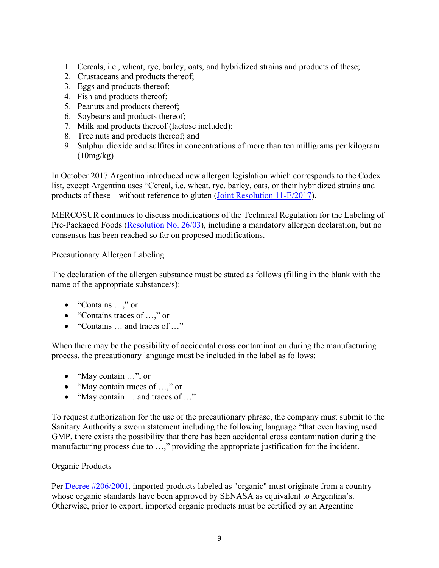- 1. Cereals, i.e., wheat, rye, barley, oats, and hybridized strains and products of these;
- 2. Crustaceans and products thereof;
- 3. Eggs and products thereof;
- 4. Fish and products thereof;
- 5. Peanuts and products thereof;
- 6. Soybeans and products thereof;
- 7. Milk and products thereof (lactose included);
- 8. Tree nuts and products thereof; and
- 9. Sulphur dioxide and sulfites in concentrations of more than ten milligrams per kilogram  $(10mg/kg)$

In October 2017 Argentina introduced new allergen legislation which corresponds to the Codex list, except Argentina uses "Cereal, i.e. wheat, rye, barley, oats, or their hybridized strains and products of these – without reference to gluten ([Joint Resolution 11-E/2017\)](https://www.boletinoficial.gob.ar/detalleAviso/primera/172064/20171009).

MERCOSUR continues to discuss modifications of the Technical Regulation for the Labeling of Pre-Packaged Foods [\(Resolution No. 26/03](https://gd.mercosur.int/SAM/GestDoc/PubWeb.nsf/OpenFile?OpenAgent&base=SAM/GestDoc/DocOfic0Arch.nsf&id=832579C700726F0D03257640005288BF&archivo=RES_026-2003_ES_FERR_RTM%20Rotulaci%25F3n%20Alimentos.pdf)), including a mandatory allergen declaration, but no consensus has been reached so far on proposed modifications.

## Precautionary Allergen Labeling

The declaration of the allergen substance must be stated as follows (filling in the blank with the name of the appropriate substance/s):

- "Contains ...," or
- "Contains traces of …," or
- "Contains … and traces of …"

When there may be the possibility of accidental cross contamination during the manufacturing process, the precautionary language must be included in the label as follows:

- "May contain ...", or
- "May contain traces of ...," or
- "May contain ... and traces of ..."

To request authorization for the use of the precautionary phrase, the company must submit to the Sanitary Authority a sworn statement including the following language "that even having used GMP, there exists the possibility that there has been accidental cross contamination during the manufacturing process due to …," providing the appropriate justification for the incident.

## Organic Products

Per [Decree #206/2001](http://www.senasa.gob.ar/normativas/decreto-nacional-206-2001-poder-ejecutivo-nacional), imported products labeled as "organic" must originate from a country whose organic standards have been approved by SENASA as equivalent to Argentina's. Otherwise, prior to export, imported organic products must be certified by an Argentine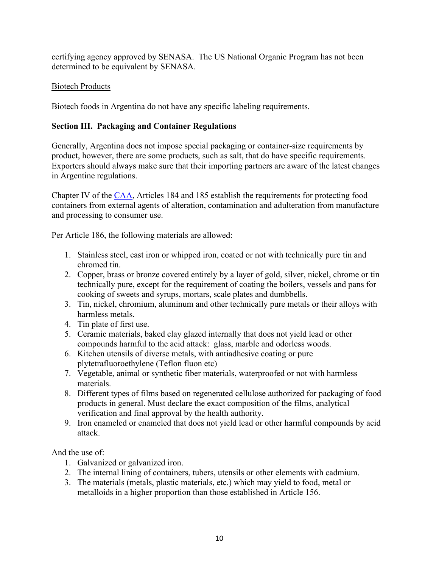certifying agency approved by SENASA. The US National Organic Program has not been determined to be equivalent by SENASA.

## Biotech Products

Biotech foods in Argentina do not have any specific labeling requirements.

# **Section III. Packaging and Container Regulations**

Generally, Argentina does not impose special packaging or container-size requirements by product, however, there are some products, such as salt, that do have specific requirements. Exporters should always make sure that their importing partners are aware of the latest changes in Argentine regulations.

Chapter IV of the [CAA,](https://www.argentina.gob.ar/anmat/codigoalimentario) Articles 184 and 185 establish the requirements for protecting food containers from external agents of alteration, contamination and adulteration from manufacture and processing to consumer use.

Per Article 186, the following materials are allowed:

- 1. Stainless steel, cast iron or whipped iron, coated or not with technically pure tin and chromed tin.
- 2. Copper, brass or bronze covered entirely by a layer of gold, silver, nickel, chrome or tin technically pure, except for the requirement of coating the boilers, vessels and pans for cooking of sweets and syrups, mortars, scale plates and dumbbells.
- 3. Tin, nickel, chromium, aluminum and other technically pure metals or their alloys with harmless metals.
- 4. Tin plate of first use.
- 5. Ceramic materials, baked clay glazed internally that does not yield lead or other compounds harmful to the acid attack: glass, marble and odorless woods.
- 6. Kitchen utensils of diverse metals, with antiadhesive coating or pure plytetrafluoroethylene (Teflon fluon etc)
- 7. Vegetable, animal or synthetic fiber materials, waterproofed or not with harmless materials.
- 8. Different types of films based on regenerated cellulose authorized for packaging of food products in general. Must declare the exact composition of the films, analytical verification and final approval by the health authority.
- 9. Iron enameled or enameled that does not yield lead or other harmful compounds by acid attack.

And the use of:

- 1. Galvanized or galvanized iron.
- 2. The internal lining of containers, tubers, utensils or other elements with cadmium.
- 3. The materials (metals, plastic materials, etc.) which may yield to food, metal or metalloids in a higher proportion than those established in Article 156.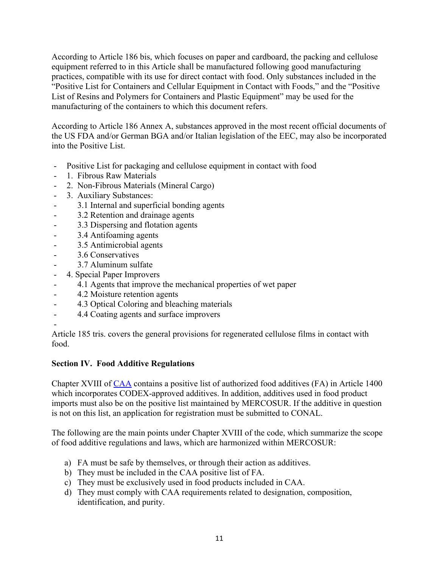According to Article 186 bis, which focuses on paper and cardboard, the packing and cellulose equipment referred to in this Article shall be manufactured following good manufacturing practices, compatible with its use for direct contact with food. Only substances included in the "Positive List for Containers and Cellular Equipment in Contact with Foods," and the "Positive List of Resins and Polymers for Containers and Plastic Equipment" may be used for the manufacturing of the containers to which this document refers.

According to Article 186 Annex A, substances approved in the most recent official documents of the US FDA and/or German BGA and/or Italian legislation of the EEC, may also be incorporated into the Positive List.

- Positive List for packaging and cellulose equipment in contact with food
- 1. Fibrous Raw Materials
- 2. Non-Fibrous Materials (Mineral Cargo)
- 3. Auxiliary Substances:
- 3.1 Internal and superficial bonding agents
- 3.2 Retention and drainage agents
- 3.3 Dispersing and flotation agents
- 3.4 Antifoaming agents
- 3.5 Antimicrobial agents
- 3.6 Conservatives
- 3.7 Aluminum sulfate
- 4. Special Paper Improvers
- 4.1 Agents that improve the mechanical properties of wet paper
- 4.2 Moisture retention agents
- 4.3 Optical Coloring and bleaching materials
- 4.4 Coating agents and surface improvers

- Article 185 tris. covers the general provisions for regenerated cellulose films in contact with food.

#### **Section IV. Food Additive Regulations**

Chapter XVIII of [CAA](https://www.argentina.gob.ar/anmat/codigoalimentario) contains a positive list of authorized food additives (FA) in Article 1400 which incorporates CODEX-approved additives. In addition, additives used in food product imports must also be on the positive list maintained by MERCOSUR. If the additive in question is not on this list, an application for registration must be submitted to CONAL.

The following are the main points under Chapter XVIII of the code, which summarize the scope of food additive regulations and laws, which are harmonized within MERCOSUR:

- a) FA must be safe by themselves, or through their action as additives.
- b) They must be included in the CAA positive list of FA.
- c) They must be exclusively used in food products included in CAA.
- d) They must comply with CAA requirements related to designation, composition, identification, and purity.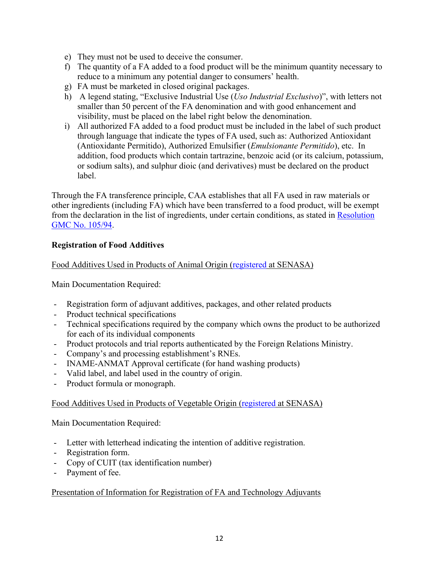- e) They must not be used to deceive the consumer.
- f) The quantity of a FA added to a food product will be the minimum quantity necessary to reduce to a minimum any potential danger to consumers' health.
- g) FA must be marketed in closed original packages.
- h) A legend stating, "Exclusive Industrial Use (*Uso Industrial Exclusivo*)", with letters not smaller than 50 percent of the FA denomination and with good enhancement and visibility, must be placed on the label right below the denomination.
- i) All authorized FA added to a food product must be included in the label of such product through language that indicate the types of FA used, such as: Authorized Antioxidant (Antioxidante Permitido), Authorized Emulsifier (*Emulsionante Permitido*), etc. In addition, food products which contain tartrazine, benzoic acid (or its calcium, potassium, or sodium salts), and sulphur dioic (and derivatives) must be declared on the product label.

Through the FA transference principle, CAA establishes that all FA used in raw materials or other ingredients (including FA) which have been transferred to a food product, will be exempt from the declaration in the list of ingredients, under certain conditions, as stated in [Resolution](https://gd.mercosur.int/SAM/GestDoc/PubWeb.nsf/OpenFile?OpenAgent&base=SAM/GestDoc/DocOfic0Arch.nsf&id=832579C700726F0D8325777E005A1D04&archivo=RES_105-1994_ES_TransAditAlimentarios.doc)  [GMC No. 105/94](https://gd.mercosur.int/SAM/GestDoc/PubWeb.nsf/OpenFile?OpenAgent&base=SAM/GestDoc/DocOfic0Arch.nsf&id=832579C700726F0D8325777E005A1D04&archivo=RES_105-1994_ES_TransAditAlimentarios.doc).

#### **Registration of Food Additives**

Food Additives Used in Products of Animal Origin ([registered](https://www.argentina.gob.ar/autorizar-aditivos-para-alimentos-de-origen-animal-envases-y-conexos) at SENASA)

Main Documentation Required:

- Registration form of adjuvant additives, packages, and other related products
- Product technical specifications
- Technical specifications required by the company which owns the product to be authorized for each of its individual components
- Product protocols and trial reports authenticated by the Foreign Relations Ministry.
- Company's and processing establishment's RNEs.
- INAME-ANMAT Approval certificate (for hand washing products)
- Valid label, and label used in the country of origin.
- Product formula or monograph.

#### Food Additives Used in Products of Vegetable Origin [\(registered](https://www.argentina.gob.ar/senasa/programas-sanitarios/cadena-vegetal/cereales/cereales-industria/aditivos-y-coadyuvantes-de-tecnologia) at SENASA)

Main Documentation Required:

- Letter with letterhead indicating the intention of additive registration.
- Registration form.
- Copy of CUIT (tax identification number)
- Payment of fee.

#### Presentation of Information for Registration of FA and Technology Adjuvants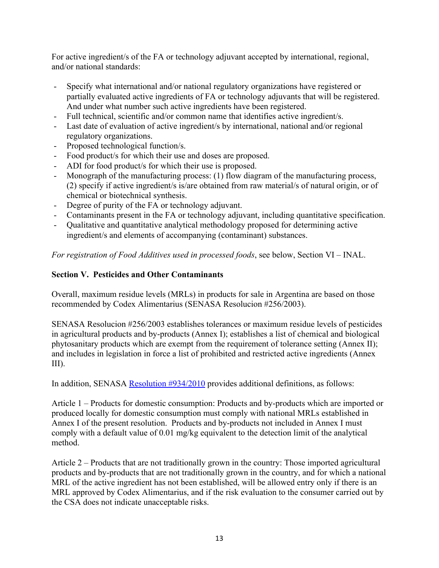For active ingredient/s of the FA or technology adjuvant accepted by international, regional, and/or national standards:

- Specify what international and/or national regulatory organizations have registered or partially evaluated active ingredients of FA or technology adjuvants that will be registered. And under what number such active ingredients have been registered.
- Full technical, scientific and/or common name that identifies active ingredient/s.
- Last date of evaluation of active ingredient/s by international, national and/or regional regulatory organizations.
- Proposed technological function/s.
- Food product/s for which their use and doses are proposed.
- ADI for food product/s for which their use is proposed.
- Monograph of the manufacturing process: (1) flow diagram of the manufacturing process, (2) specify if active ingredient/s is/are obtained from raw material/s of natural origin, or of chemical or biotechnical synthesis.
- Degree of purity of the FA or technology adjuvant.
- Contaminants present in the FA or technology adjuvant, including quantitative specification.
- Qualitative and quantitative analytical methodology proposed for determining active ingredient/s and elements of accompanying (contaminant) substances.

*For registration of Food Additives used in processed foods*, see below, Section VI – INAL.

# **Section V. Pesticides and Other Contaminants**

Overall, maximum residue levels (MRLs) in products for sale in Argentina are based on those recommended by Codex Alimentarius (SENASA Resolucion #256/2003).

SENASA Resolucion #256/2003 establishes tolerances or maximum residue levels of pesticides in agricultural products and by-products (Annex I); establishes a list of chemical and biological phytosanitary products which are exempt from the requirement of tolerance setting (Annex II); and includes in legislation in force a list of prohibited and restricted active ingredients (Annex III).

In addition, SENASA [Resolution #934/2010](http://www.senasa.gob.ar/normativas/resolucion-934-2010-senasa-servicio-nacional-de-sanidad-y-calidad-agroalimentaria) provides additional definitions, as follows:

Article 1 – Products for domestic consumption: Products and by-products which are imported or produced locally for domestic consumption must comply with national MRLs established in Annex I of the present resolution. Products and by-products not included in Annex I must comply with a default value of 0.01 mg/kg equivalent to the detection limit of the analytical method.

Article 2 – Products that are not traditionally grown in the country: Those imported agricultural products and by-products that are not traditionally grown in the country, and for which a national MRL of the active ingredient has not been established, will be allowed entry only if there is an MRL approved by Codex Alimentarius, and if the risk evaluation to the consumer carried out by the CSA does not indicate unacceptable risks.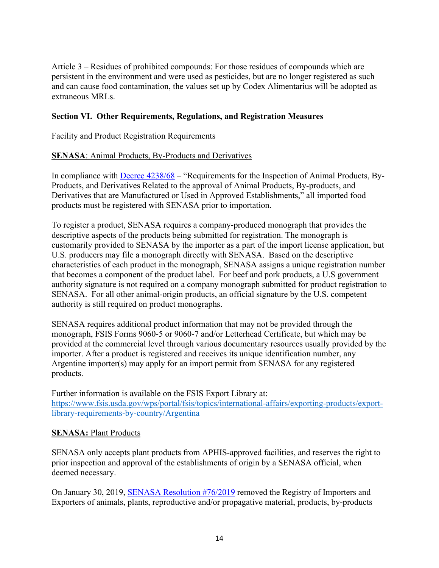Article 3 – Residues of prohibited compounds: For those residues of compounds which are persistent in the environment and were used as pesticides, but are no longer registered as such and can cause food contamination, the values set up by Codex Alimentarius will be adopted as extraneous MRLs.

## **Section VI. Other Requirements, Regulations, and Registration Measures**

Facility and Product Registration Requirements

#### **SENASA**: Animal Products, By-Products and Derivatives

In compliance with [Decree 4238/68](http://www.senasa.gob.ar/decreto-423868) – "Requirements for the Inspection of Animal Products, By-Products, and Derivatives Related to the approval of Animal Products, By-products, and Derivatives that are Manufactured or Used in Approved Establishments," all imported food products must be registered with SENASA prior to importation.

To register a product, SENASA requires a company-produced monograph that provides the descriptive aspects of the products being submitted for registration. The monograph is customarily provided to SENASA by the importer as a part of the import license application, but U.S. producers may file a monograph directly with SENASA. Based on the descriptive characteristics of each product in the monograph, SENASA assigns a unique registration number that becomes a component of the product label. For beef and pork products, a U.S government authority signature is not required on a company monograph submitted for product registration to SENASA. For all other animal-origin products, an official signature by the U.S. competent authority is still required on product monographs.

SENASA requires additional product information that may not be provided through the monograph, FSIS Forms 9060-5 or 9060-7 and/or Letterhead Certificate, but which may be provided at the commercial level through various documentary resources usually provided by the importer. After a product is registered and receives its unique identification number, any Argentine importer(s) may apply for an import permit from SENASA for any registered products.

Further information is available on the FSIS Export Library at: [https://www.fsis.usda.gov/wps/portal/fsis/topics/international-affairs/exporting-products/export](https://www.fsis.usda.gov/wps/portal/fsis/topics/international-affairs/exporting-products/export-library-requirements-by-country/Argentina)[library-requirements-by-country/Argentina](https://www.fsis.usda.gov/wps/portal/fsis/topics/international-affairs/exporting-products/export-library-requirements-by-country/Argentina)

#### **SENASA: Plant Products**

SENASA only accepts plant products from APHIS-approved facilities, and reserves the right to prior inspection and approval of the establishments of origin by a SENASA official, when deemed necessary.

On January 30, 2019, [SENASA Resolution #76/2019](http://www.senasa.gob.ar/normativas/resolucion-76-2019-senasa-servicio-nacional-de-sanidad-y-calidad-agroalimentaria) removed the Registry of Importers and Exporters of animals, plants, reproductive and/or propagative material, products, by-products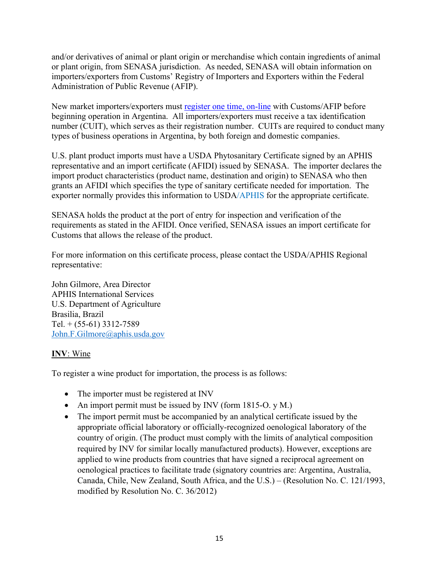and/or derivatives of animal or plant origin or merchandise which contain ingredients of animal or plant origin, from SENASA jurisdiction. As needed, SENASA will obtain information on importers/exporters from Customs' Registry of Importers and Exporters within the Federal Administration of Public Revenue (AFIP).

New market importers/exporters must [register one time, on-line](https://www.afip.gob.ar/registroAduanero) with Customs/AFIP before beginning operation in Argentina. All importers/exporters must receive a tax identification number (CUIT), which serves as their registration number. CUITs are required to conduct many types of business operations in Argentina, by both foreign and domestic companies.

U.S. plant product imports must have a USDA Phytosanitary Certificate signed by an APHIS representative and an import certificate (AFIDI) issued by SENASA. The importer declares the import product characteristics (product name, destination and origin) to SENASA who then grants an AFIDI which specifies the type of sanitary certificate needed for importation. The exporter normally provides this information to USDA/APHIS for the appropriate certificate.

SENASA holds the product at the port of entry for inspection and verification of the requirements as stated in the AFIDI. Once verified, SENASA issues an import certificate for Customs that allows the release of the product.

For more information on this certificate process, please contact the USDA/APHIS Regional representative:

John Gilmore, Area Director APHIS International Services U.S. Department of Agriculture Brasilia, Brazil Tel.  $+$  (55-61) 3312-7589 [John.F.Gilmore@aphis.usda.gov](mailto:John.F.Gilmore@aphis.usda.gov)

## **INV**: Wine

To register a wine product for importation, the process is as follows:

- The importer must be registered at INV
- An import permit must be issued by INV (form 1815-O. y M.)
- The import permit must be accompanied by an analytical certificate issued by the appropriate official laboratory or officially-recognized oenological laboratory of the country of origin. (The product must comply with the limits of analytical composition required by INV for similar locally manufactured products). However, exceptions are applied to wine products from countries that have signed a reciprocal agreement on oenological practices to facilitate trade (signatory countries are: Argentina, Australia, Canada, Chile, New Zealand, South Africa, and the U.S.) – (Resolution No. C. 121/1993, modified by Resolution No. C. 36/2012)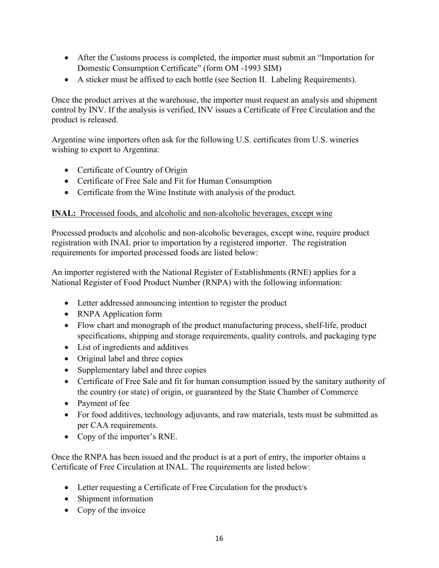- After the Customs process is completed, the importer must submit an "Importation for Domestic Consumption Certificate" (form OM -1993 SIM)
- A sticker must be affixed to each bottle (see Section II. Labeling Requirements).

Once the product arrives at the warehouse, the importer must request an analysis and shipment control by INV. If the analysis is verified, INV issues a Certificate of Free Circulation and the product is released.

Argentine wine importers often ask for the following U.S. certificates from U.S. wineries wishing to export to Argentina:

- Certificate of Country of Origin
- Certificate of Free Sale and Fit for Human Consumption
- Certificate from the Wine Institute with analysis of the product.

# **INAL:** Processed foods, and alcoholic and non-alcoholic beverages, except wine

Processed products and alcoholic and non-alcoholic beverages, except wine, require product registration with INAL prior to importation by a registered importer. The registration requirements for imported processed foods are listed below:

An importer registered with the National Register of Establishments (RNE) applies for a National Register of Food Product Number (RNPA) with the following information:

- Letter addressed announcing intention to register the product
- RNPA Application form
- Flow chart and monograph of the product manufacturing process, shelf-life, product specifications, shipping and storage requirements, quality controls, and packaging type
- List of ingredients and additives
- Original label and three copies
- Supplementary label and three copies
- Certificate of Free Sale and fit for human consumption issued by the sanitary authority of the country (or state) of origin, or guaranteed by the State Chamber of Commerce
- Payment of fee
- For food additives, technology adjuvants, and raw materials, tests must be submitted as per CAA requirements.
- Copy of the importer's RNE.

Once the RNPA has been issued and the product is at a port of entry, the importer obtains a Certificate of Free Circulation at INAL. The requirements are listed below:

- Letter requesting a Certificate of Free Circulation for the product/s
- Shipment information
- Copy of the invoice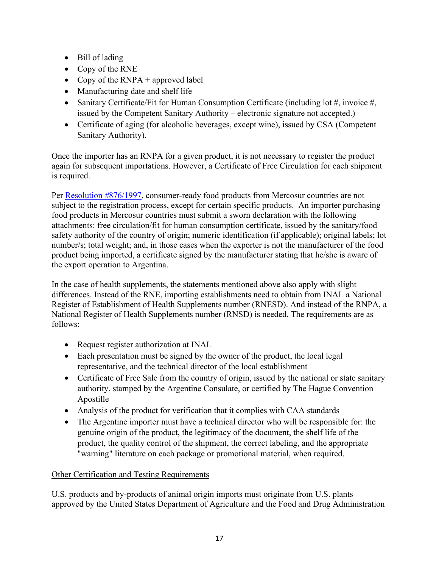- Bill of lading
- Copy of the RNE
- Copy of the  $RNPA +$  approved label
- Manufacturing date and shelf life
- Sanitary Certificate/Fit for Human Consumption Certificate (including lot #, invoice #, issued by the Competent Sanitary Authority – electronic signature not accepted.)
- Certificate of aging (for alcoholic beverages, except wine), issued by CSA (Competent Sanitary Authority).

Once the importer has an RNPA for a given product, it is not necessary to register the product again for subsequent importations. However, a Certificate of Free Circulation for each shipment is required.

Per [Resolution](https://www.argentina.gob.ar/normativa/nacional/resoluci%C3%B3n-876-1997-47171/texto) *#*876/1997, consumer-ready food products from Mercosur countries are not subject to the registration process, except for certain specific products. An importer purchasing food products in Mercosur countries must submit a sworn declaration with the following attachments: free circulation/fit for human consumption certificate, issued by the sanitary/food safety authority of the country of origin; numeric identification (if applicable); original labels; lot number/s; total weight; and, in those cases when the exporter is not the manufacturer of the food product being imported, a certificate signed by the manufacturer stating that he/she is aware of the export operation to Argentina.

In the case of health supplements, the statements mentioned above also apply with slight differences. Instead of the RNE, importing establishments need to obtain from INAL a National Register of Establishment of Health Supplements number (RNESD). And instead of the RNPA, a National Register of Health Supplements number (RNSD) is needed. The requirements are as follows:

- Request register authorization at INAL
- Each presentation must be signed by the owner of the product, the local legal representative, and the technical director of the local establishment
- Certificate of Free Sale from the country of origin, issued by the national or state sanitary authority, stamped by the Argentine Consulate, or certified by The Hague Convention Apostille
- Analysis of the product for verification that it complies with CAA standards
- The Argentine importer must have a technical director who will be responsible for: the genuine origin of the product, the legitimacy of the document, the shelf life of the product, the quality control of the shipment, the correct labeling, and the appropriate "warning" literature on each package or promotional material, when required.

# Other Certification and Testing Requirements

U.S. products and by-products of animal origin imports must originate from U.S. plants approved by the United States Department of Agriculture and the Food and Drug Administration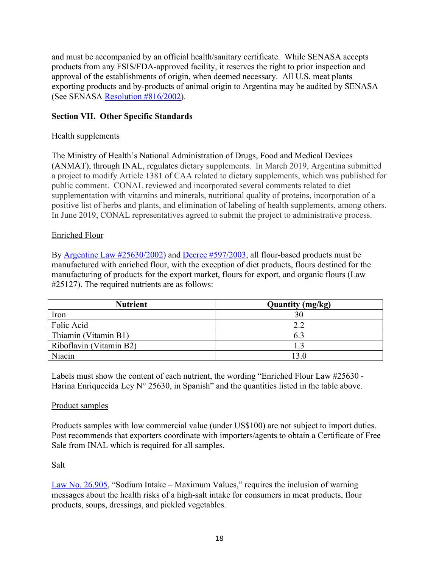and must be accompanied by an official health/sanitary certificate. While SENASA accepts products from any FSIS/FDA-approved facility, it reserves the right to prior inspection and approval of the establishments of origin, when deemed necessary. All U.S. meat plants exporting products and by-products of animal origin to Argentina may be audited by SENASA (See SENASA [Resolution #816/2002](http://www.senasa.gob.ar/normativas/resolucion-816-2002-senasa-servicio-nacional-de-sanidad-y-calidad-agroalimentaria)).

## **Section VII. Other Specific Standards**

## Health supplements

The Ministry of Health's National Administration of Drugs, Food and Medical Devices (ANMAT), through INAL, regulates dietary supplements. In March 2019, Argentina submitted a project to modify Article 1381 of CAA related to dietary supplements, which was published for public comment. CONAL reviewed and incorporated several comments related to diet supplementation with vitamins and minerals, nutritional quality of proteins, incorporation of a positive list of herbs and plants, and elimination of labeling of health supplements, among others. In June 2019, CONAL representatives agreed to submit the project to administrative process.

# Enriched Flour

By [Argentine Law #25630/2002\)](file:///C:/Users/BoroughsBB/AppData/Local/Microsoft/Windows/INetCache/Content.Outlook/OEGL03E0/(http:/www.senasa.gob.ar/normativas/ley-nacional-25630-2002-poder-ejecutivo-nacional) and [Decree #597/2003](http://www.anmat.gov.ar/webanmat/Legislacion/Alimentos/Decreto_597-2003.pdf), all flour-based products must be manufactured with enriched flour, with the exception of diet products, flours destined for the manufacturing of products for the export market, flours for export, and organic flours (Law #25127). The required nutrients are as follows:

| <b>Nutrient</b>         | <b>Quantity (mg/kg)</b> |
|-------------------------|-------------------------|
| Iron                    | 30                      |
| Folic Acid              | 2.2                     |
| Thiamin (Vitamin B1)    | 6.3                     |
| Riboflavin (Vitamin B2) |                         |
| Niacin                  |                         |

Labels must show the content of each nutrient, the wording "Enriched Flour Law #25630 - Harina Enriquecida Ley N° 25630, in Spanish" and the quantities listed in the table above.

## Product samples

Products samples with low commercial value (under US\$100) are not subject to import duties. Post recommends that exporters coordinate with importers/agents to obtain a Certificate of Free Sale from INAL which is required for all samples.

## Salt

[Law No. 26.905,](http://servicios.infoleg.gob.ar/infolegInternet/anexos/220000-224999/223771/norma.htm) "Sodium Intake – Maximum Values," requires the inclusion of warning messages about the health risks of a high-salt intake for consumers in meat products, flour products, soups, dressings, and pickled vegetables.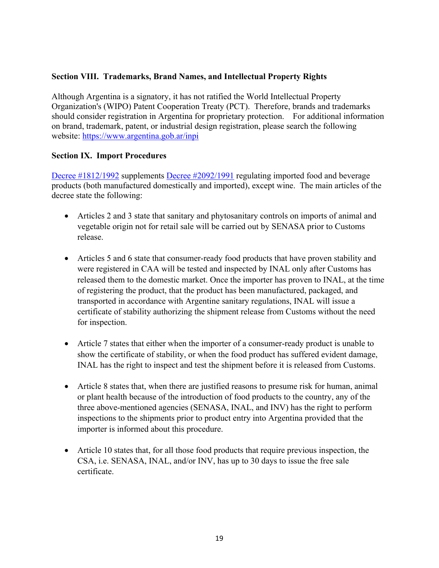## **Section VIII. Trademarks, Brand Names, and Intellectual Property Rights**

Although Argentina is a signatory, it has not ratified the World Intellectual Property Organization's (WIPO) Patent Cooperation Treaty (PCT). Therefore, brands and trademarks should consider registration in Argentina for proprietary protection. For additional information on brand, trademark, patent, or industrial design registration, please search the following website: <https://www.argentina.gob.ar/inpi>

## **Section IX. Import Procedures**

[Decree #1812/1992](https://www.argentina.gob.ar/normativa/nacional/decreto-1812-1992-10307/texto) supplements [Decree #2092/1991](http://www.anmat.gov.ar/webanmat/Legislacion/Alimentos/Decreto_2092-1991.pdf) regulating imported food and beverage products (both manufactured domestically and imported), except wine. The main articles of the decree state the following:

- Articles 2 and 3 state that sanitary and phytosanitary controls on imports of animal and vegetable origin not for retail sale will be carried out by SENASA prior to Customs release.
- Articles 5 and 6 state that consumer-ready food products that have proven stability and were registered in CAA will be tested and inspected by INAL only after Customs has released them to the domestic market. Once the importer has proven to INAL, at the time of registering the product, that the product has been manufactured, packaged, and transported in accordance with Argentine sanitary regulations, INAL will issue a certificate of stability authorizing the shipment release from Customs without the need for inspection.
- Article 7 states that either when the importer of a consumer-ready product is unable to show the certificate of stability, or when the food product has suffered evident damage, INAL has the right to inspect and test the shipment before it is released from Customs.
- Article 8 states that, when there are justified reasons to presume risk for human, animal or plant health because of the introduction of food products to the country, any of the three above-mentioned agencies (SENASA, INAL, and INV) has the right to perform inspections to the shipments prior to product entry into Argentina provided that the importer is informed about this procedure.
- Article 10 states that, for all those food products that require previous inspection, the CSA, i.e. SENASA, INAL, and/or INV, has up to 30 days to issue the free sale certificate.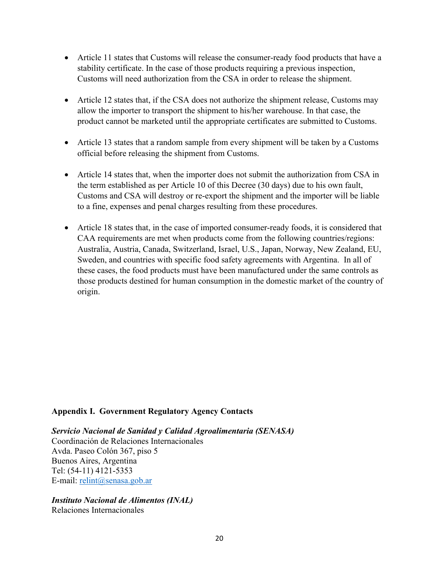- Article 11 states that Customs will release the consumer-ready food products that have a stability certificate. In the case of those products requiring a previous inspection, Customs will need authorization from the CSA in order to release the shipment.
- Article 12 states that, if the CSA does not authorize the shipment release, Customs may allow the importer to transport the shipment to his/her warehouse. In that case, the product cannot be marketed until the appropriate certificates are submitted to Customs.
- Article 13 states that a random sample from every shipment will be taken by a Customs official before releasing the shipment from Customs.
- Article 14 states that, when the importer does not submit the authorization from CSA in the term established as per Article 10 of this Decree (30 days) due to his own fault, Customs and CSA will destroy or re-export the shipment and the importer will be liable to a fine, expenses and penal charges resulting from these procedures.
- Article 18 states that, in the case of imported consumer-ready foods, it is considered that CAA requirements are met when products come from the following countries/regions: Australia, Austria, Canada, Switzerland, Israel, U.S., Japan, Norway, New Zealand, EU, Sweden, and countries with specific food safety agreements with Argentina. In all of these cases, the food products must have been manufactured under the same controls as those products destined for human consumption in the domestic market of the country of origin.

#### **Appendix I. Government Regulatory Agency Contacts**

*Servicio Nacional de Sanidad y Calidad Agroalimentaria (SENASA)*  Coordinación de Relaciones Internacionales Avda. Paseo Colón 367, piso 5 Buenos Aires, Argentina Tel: (54-11) 4121-5353 E-mail: [relint@senasa.gob.ar](mailto:relint@senasa.gob.ar)

#### *Instituto Nacional de Alimentos (INAL)*  Relaciones Internacionales